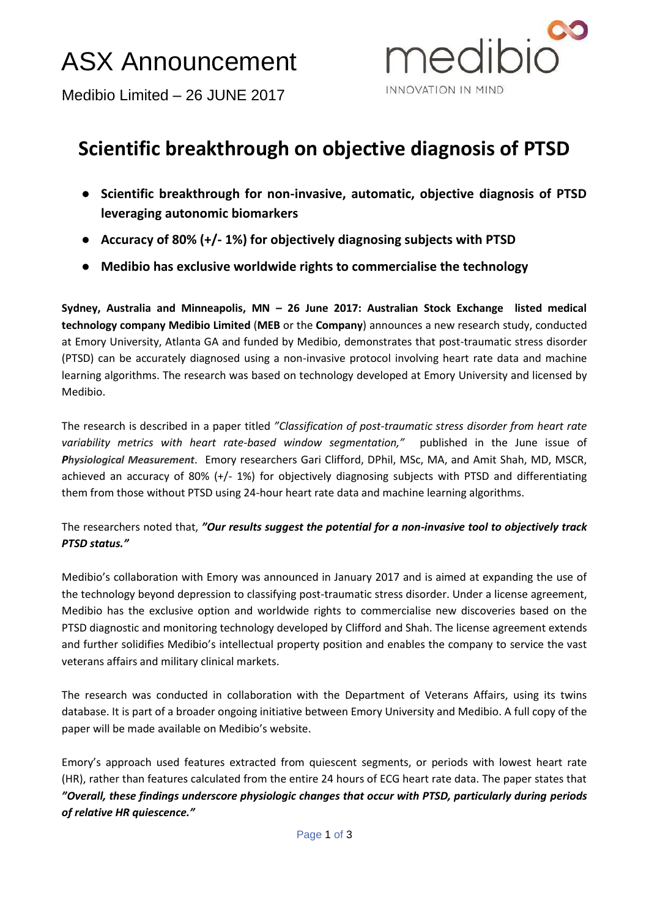# ASX Announcement



Medibio Limited – 26 JUNE 2017

# **Scientific breakthrough on objective diagnosis of PTSD**

- **Scientific breakthrough for non-invasive, automatic, objective diagnosis of PTSD leveraging autonomic biomarkers**
- **Accuracy of 80% (+/- 1%) for objectively diagnosing subjects with PTSD**
- **Medibio has exclusive worldwide rights to commercialise the technology**

**Sydney, Australia and Minneapolis, MN – 26 June 2017: Australian Stock Exchange listed medical technology company Medibio Limited** (**MEB** or the **Company**) announces a new research study, conducted at Emory University, Atlanta GA and funded by Medibio, demonstrates that post-traumatic stress disorder (PTSD) can be accurately diagnosed using a non-invasive protocol involving heart rate data and machine learning algorithms. The research was based on technology developed at Emory University and licensed by Medibio.

The research is described in a paper titled *"Classification of post-traumatic stress disorder from heart rate variability metrics with heart rate-based window segmentation,"* published in the June issue of *Physiological Measurement*. Emory researchers Gari Clifford, DPhil, MSc, MA, and Amit Shah, MD, MSCR, achieved an accuracy of 80% (+/- 1%) for objectively diagnosing subjects with PTSD and differentiating them from those without PTSD using 24-hour heart rate data and machine learning algorithms.

# The researchers noted that, *"Our results suggest the potential for a non-invasive tool to objectively track PTSD status."*

Medibio's collaboration with Emory was announced in January 2017 and is aimed at expanding the use of the technology beyond depression to classifying post-traumatic stress disorder. Under a license agreement, Medibio has the exclusive option and worldwide rights to commercialise new discoveries based on the PTSD diagnostic and monitoring technology developed by Clifford and Shah. The license agreement extends and further solidifies Medibio's intellectual property position and enables the company to service the vast veterans affairs and military clinical markets.

The research was conducted in collaboration with the Department of Veterans Affairs, using its twins database. It is part of a broader ongoing initiative between Emory University and Medibio. A full copy of the paper will be made available on Medibio's website.

Emory's approach used features extracted from quiescent segments, or periods with lowest heart rate (HR), rather than features calculated from the entire 24 hours of ECG heart rate data. The paper states that *"Overall, these findings underscore physiologic changes that occur with PTSD, particularly during periods of relative HR quiescence."*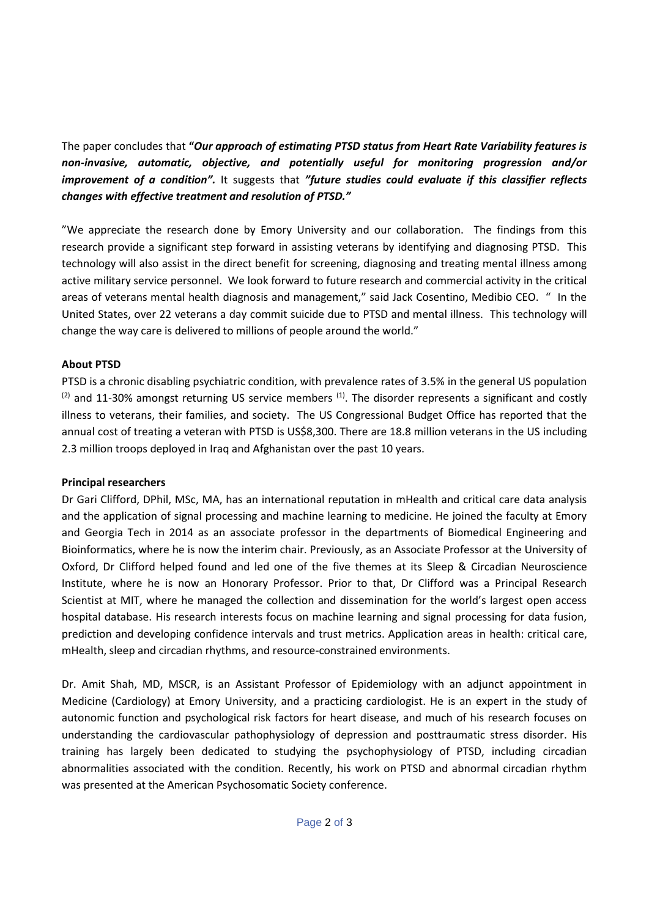The paper concludes that **"***Our approach of estimating PTSD status from Heart Rate Variability features is non-invasive, automatic, objective, and potentially useful for monitoring progression and/or improvement of a condition".* It suggests that *"future studies could evaluate if this classifier reflects changes with effective treatment and resolution of PTSD."*

"We appreciate the research done by Emory University and our collaboration. The findings from this research provide a significant step forward in assisting veterans by identifying and diagnosing PTSD. This technology will also assist in the direct benefit for screening, diagnosing and treating mental illness among active military service personnel. We look forward to future research and commercial activity in the critical areas of veterans mental health diagnosis and management," said Jack Cosentino, Medibio CEO. " In the United States, over 22 veterans a day commit suicide due to PTSD and mental illness. This technology will change the way care is delivered to millions of people around the world."

#### **About PTSD**

PTSD is a chronic disabling psychiatric condition, with prevalence rates of 3.5% in the general US population  $(2)$  and 11-30% amongst returning US service members  $(1)$ . The disorder represents a significant and costly illness to veterans, their families, and society. The US Congressional Budget Office has reported that the annual cost of treating a veteran with PTSD is US\$8,300. There are 18.8 million veterans in the US including 2.3 million troops deployed in Iraq and Afghanistan over the past 10 years.

#### **Principal researchers**

Dr Gari Clifford, DPhil, MSc, MA, has an international reputation in mHealth and critical care data analysis and the application of signal processing and machine learning to medicine. He joined the faculty at Emory and Georgia Tech in 2014 as an associate professor in the departments of Biomedical Engineering and Bioinformatics, where he is now the interim chair. Previously, as an Associate Professor at the University of Oxford, Dr Clifford helped found and led one of the five themes at its [Sleep & Circadian Neuroscience](http://www.eye.ox.ac.uk/research/new_sleep_and_circadian_assays)  [Institute,](http://www.eye.ox.ac.uk/research/new_sleep_and_circadian_assays) where he is now an Honorary Professor. Prior to that, Dr Clifford was a Principal Research Scientist at MIT, where he managed the collection and dissemination for the world's largest open access hospital database. His research interests focus on machine learning and signal processing for data fusion, prediction and developing confidence intervals and trust metrics. Application areas in health: critical care, mHealth, sleep and circadian rhythms, and resource-constrained environments.

Dr. Amit Shah, MD, MSCR, is an Assistant Professor of Epidemiology with an adjunct appointment in Medicine (Cardiology) at Emory University, and a practicing cardiologist. He is an expert in the study of autonomic function and psychological risk factors for heart disease, and much of his research focuses on understanding the cardiovascular pathophysiology of depression and posttraumatic stress disorder. His training has largely been dedicated to studying the psychophysiology of PTSD, including circadian abnormalities associated with the condition. Recently, his work on PTSD and abnormal circadian rhythm was presented at the American Psychosomatic Society conference.